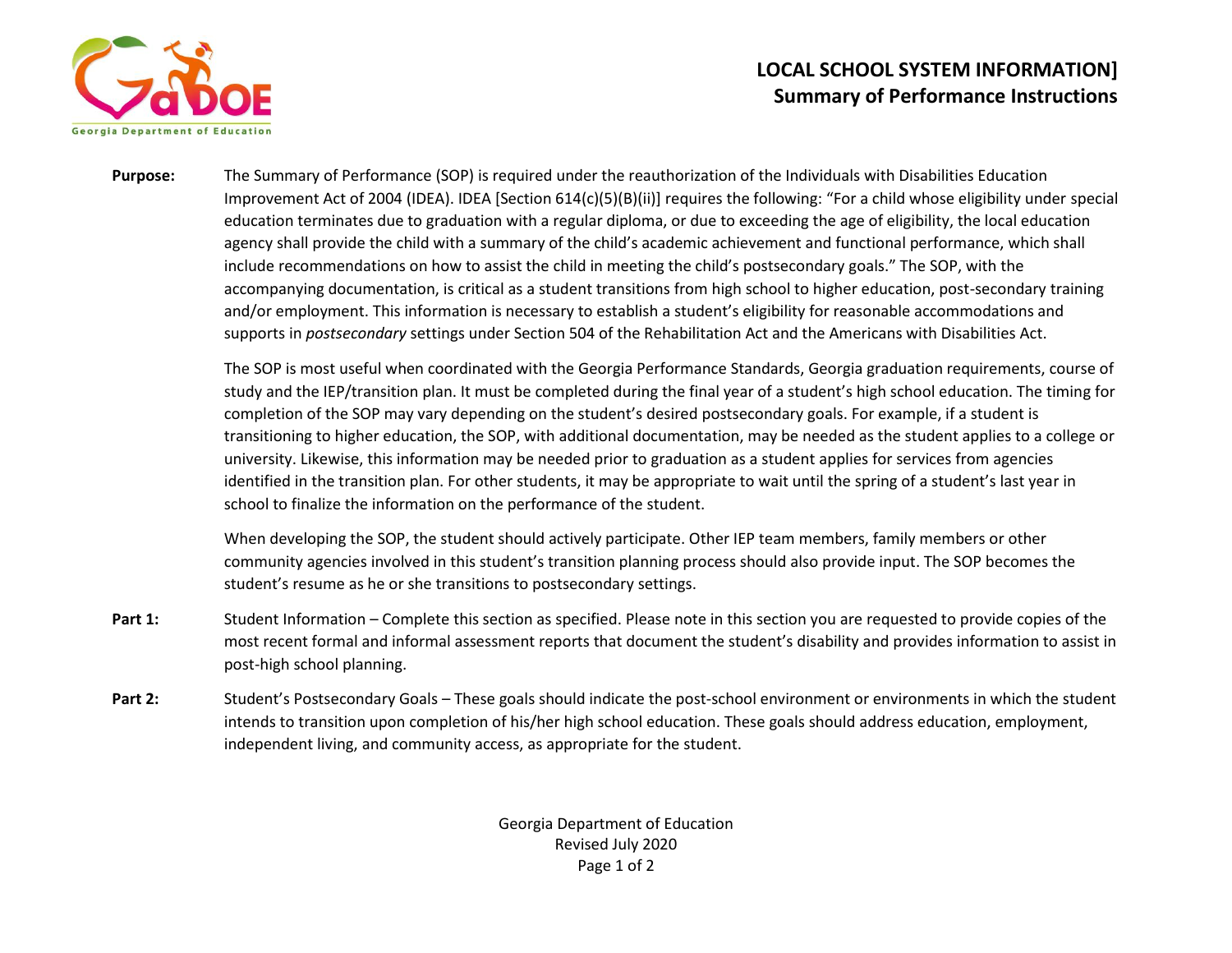

## **LOCAL SCHOOL SYSTEM INFORMATION] Summary of Performance Instructions**

**Purpose:** The Summary of Performance (SOP) is required under the reauthorization of the Individuals with Disabilities Education Improvement Act of 2004 (IDEA). IDEA [Section 614(c)(5)(B)(ii)] requires the following: "For a child whose eligibility under special education terminates due to graduation with a regular diploma, or due to exceeding the age of eligibility, the local education agency shall provide the child with a summary of the child's academic achievement and functional performance, which shall include recommendations on how to assist the child in meeting the child's postsecondary goals." The SOP, with the accompanying documentation, is critical as a student transitions from high school to higher education, post-secondary training and/or employment. This information is necessary to establish a student's eligibility for reasonable accommodations and supports in *postsecondary* settings under Section 504 of the Rehabilitation Act and the Americans with Disabilities Act.

> The SOP is most useful when coordinated with the Georgia Performance Standards, Georgia graduation requirements, course of study and the IEP/transition plan. It must be completed during the final year of a student's high school education. The timing for completion of the SOP may vary depending on the student's desired postsecondary goals. For example, if a student is transitioning to higher education, the SOP, with additional documentation, may be needed as the student applies to a college or university. Likewise, this information may be needed prior to graduation as a student applies for services from agencies identified in the transition plan. For other students, it may be appropriate to wait until the spring of a student's last year in school to finalize the information on the performance of the student.

When developing the SOP, the student should actively participate. Other IEP team members, family members or other community agencies involved in this student's transition planning process should also provide input. The SOP becomes the student's resume as he or she transitions to postsecondary settings.

- Part 1: Student Information Complete this section as specified. Please note in this section you are requested to provide copies of the most recent formal and informal assessment reports that document the student's disability and provides information to assist in post-high school planning.
- **Part 2:** Student's Postsecondary Goals These goals should indicate the post-school environment or environments in which the student intends to transition upon completion of his/her high school education. These goals should address education, employment, independent living, and community access, as appropriate for the student.

Georgia Department of Education Revised July 2020 Page 1 of 2